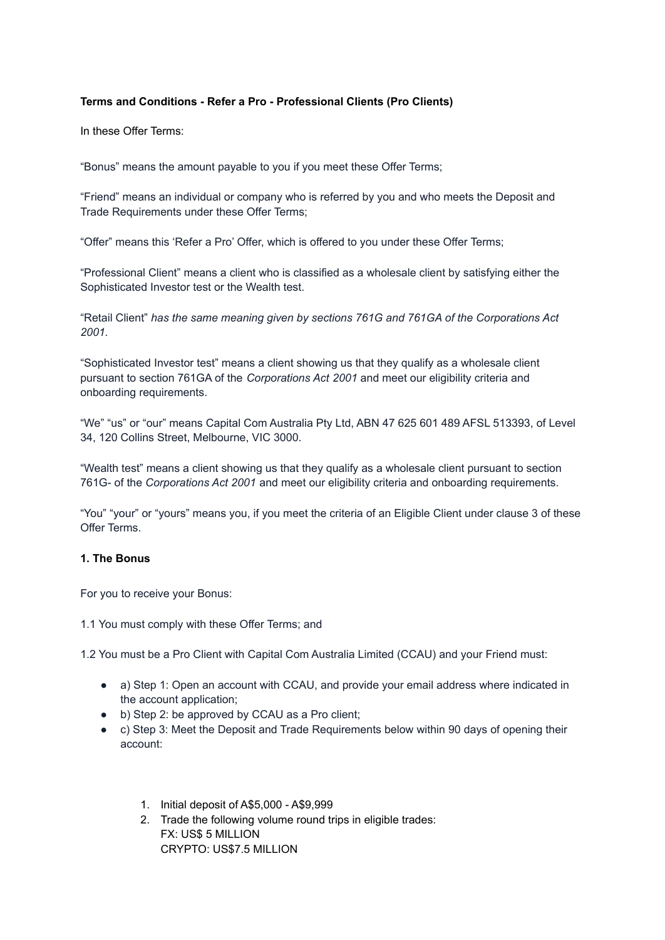# **Terms and Conditions - Refer a Pro - Professional Clients (Pro Clients)**

In these Offer Terms:

"Bonus" means the amount payable to you if you meet these Offer Terms;

"Friend" means an individual or company who is referred by you and who meets the Deposit and Trade Requirements under these Offer Terms;

"Offer" means this 'Refer a Pro' Offer, which is offered to you under these Offer Terms;

"Professional Client" means a client who is classified as a wholesale client by satisfying either the Sophisticated Investor test or the Wealth test.

"Retail Client" *has the same meaning given by sections 761G and 761GA of the Corporations Act 2001.*

"Sophisticated Investor test" means a client showing us that they qualify as a wholesale client pursuant to section 761GA of the *Corporations Act 2001* and meet our eligibility criteria and onboarding requirements.

"We" "us" or "our" means Capital Com Australia Pty Ltd, ABN 47 625 601 489 AFSL 513393, of Level 34, 120 Collins Street, Melbourne, VIC 3000.

"Wealth test" means a client showing us that they qualify as a wholesale client pursuant to section 761G- of the *Corporations Act 2001* and meet our eligibility criteria and onboarding requirements.

"You" "your" or "yours" means you, if you meet the criteria of an Eligible Client under clause 3 of these Offer Terms.

## **1. The Bonus**

For you to receive your Bonus:

1.1 You must comply with these Offer Terms; and

1.2 You must be a Pro Client with Capital Com Australia Limited (CCAU) and your Friend must:

- a) Step 1: Open an account with CCAU, and provide your email address where indicated in the account application;
- b) Step 2: be approved by CCAU as a Pro client;
- c) Step 3: Meet the Deposit and Trade Requirements below within 90 days of opening their account:
	- 1. Initial deposit of A\$5,000 A\$9,999
	- 2. Trade the following volume round trips in eligible trades: FX: US\$ 5 MILLION CRYPTO: US\$7.5 MILLION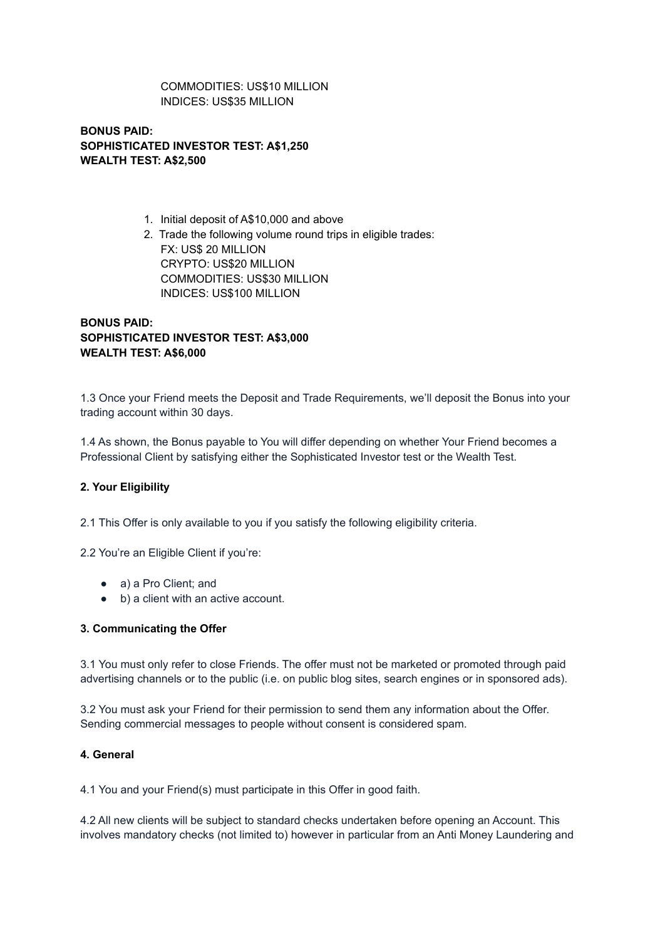## COMMODITIES: US\$10 MILLION INDICES: US\$35 MILLION

**BONUS PAID: SOPHISTICATED INVESTOR TEST: A\$1,250 WEALTH TEST: A\$2,500**

- 1. Initial deposit of A\$10,000 and above
- 2. Trade the following volume round trips in eligible trades: FX: US\$ 20 MILLION CRYPTO: US\$20 MILLION COMMODITIES: US\$30 MILLION INDICES: US\$100 MILLION

## **BONUS PAID: SOPHISTICATED INVESTOR TEST: A\$3,000 WEALTH TEST: A\$6,000**

1.3 Once your Friend meets the Deposit and Trade Requirements, we'll deposit the Bonus into your trading account within 30 days.

1.4 As shown, the Bonus payable to You will differ depending on whether Your Friend becomes a Professional Client by satisfying either the Sophisticated Investor test or the Wealth Test.

# **2. Your Eligibility**

2.1 This Offer is only available to you if you satisfy the following eligibility criteria.

2.2 You're an Eligible Client if you're:

- a) a Pro Client; and
- b) a client with an active account.

## **3. Communicating the Offer**

3.1 You must only refer to close Friends. The offer must not be marketed or promoted through paid advertising channels or to the public (i.e. on public blog sites, search engines or in sponsored ads).

3.2 You must ask your Friend for their permission to send them any information about the Offer. Sending commercial messages to people without consent is considered spam.

## **4. General**

4.1 You and your Friend(s) must participate in this Offer in good faith.

4.2 All new clients will be subject to standard checks undertaken before opening an Account. This involves mandatory checks (not limited to) however in particular from an Anti Money Laundering and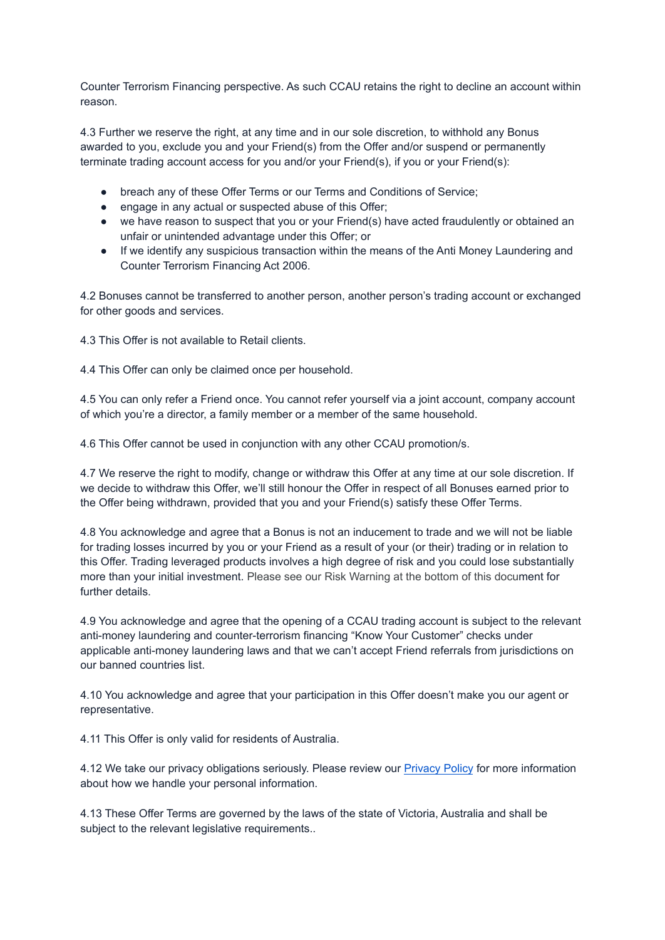Counter Terrorism Financing perspective. As such CCAU retains the right to decline an account within reason.

4.3 Further we reserve the right, at any time and in our sole discretion, to withhold any Bonus awarded to you, exclude you and your Friend(s) from the Offer and/or suspend or permanently terminate trading account access for you and/or your Friend(s), if you or your Friend(s):

- breach any of these Offer Terms or our Terms and Conditions of Service;
- engage in any actual or suspected abuse of this Offer;
- we have reason to suspect that you or your Friend(s) have acted fraudulently or obtained an unfair or unintended advantage under this Offer; or
- If we identify any suspicious transaction within the means of the Anti Money Laundering and Counter Terrorism Financing Act 2006.

4.2 Bonuses cannot be transferred to another person, another person's trading account or exchanged for other goods and services.

4.3 This Offer is not available to Retail clients.

4.4 This Offer can only be claimed once per household.

4.5 You can only refer a Friend once. You cannot refer yourself via a joint account, company account of which you're a director, a family member or a member of the same household.

4.6 This Offer cannot be used in conjunction with any other CCAU promotion/s.

4.7 We reserve the right to modify, change or withdraw this Offer at any time at our sole discretion. If we decide to withdraw this Offer, we'll still honour the Offer in respect of all Bonuses earned prior to the Offer being withdrawn, provided that you and your Friend(s) satisfy these Offer Terms.

4.8 You acknowledge and agree that a Bonus is not an inducement to trade and we will not be liable for trading losses incurred by you or your Friend as a result of your (or their) trading or in relation to this Offer. Trading leveraged products involves a high degree of risk and you could lose substantially more than your initial investment. Please see our Risk Warning at the bottom of this document for further details.

4.9 You acknowledge and agree that the opening of a CCAU trading account is subject to the relevant anti-money laundering and counter-terrorism financing "Know Your Customer" checks under applicable anti-money laundering laws and that we can't accept Friend referrals from jurisdictions on our banned countries list.

4.10 You acknowledge and agree that your participation in this Offer doesn't make you our agent or representative.

4.11 This Offer is only valid for residents of Australia.

4.12 We take our privacy obligations seriously. Please review our [Privacy](https://assets.pepperstone.com/legal/APAC_ROW/PrivacyPolicy.pdf) Policy for more information about how we handle your personal information.

4.13 These Offer Terms are governed by the laws of the state of Victoria, Australia and shall be subject to the relevant legislative requirements..